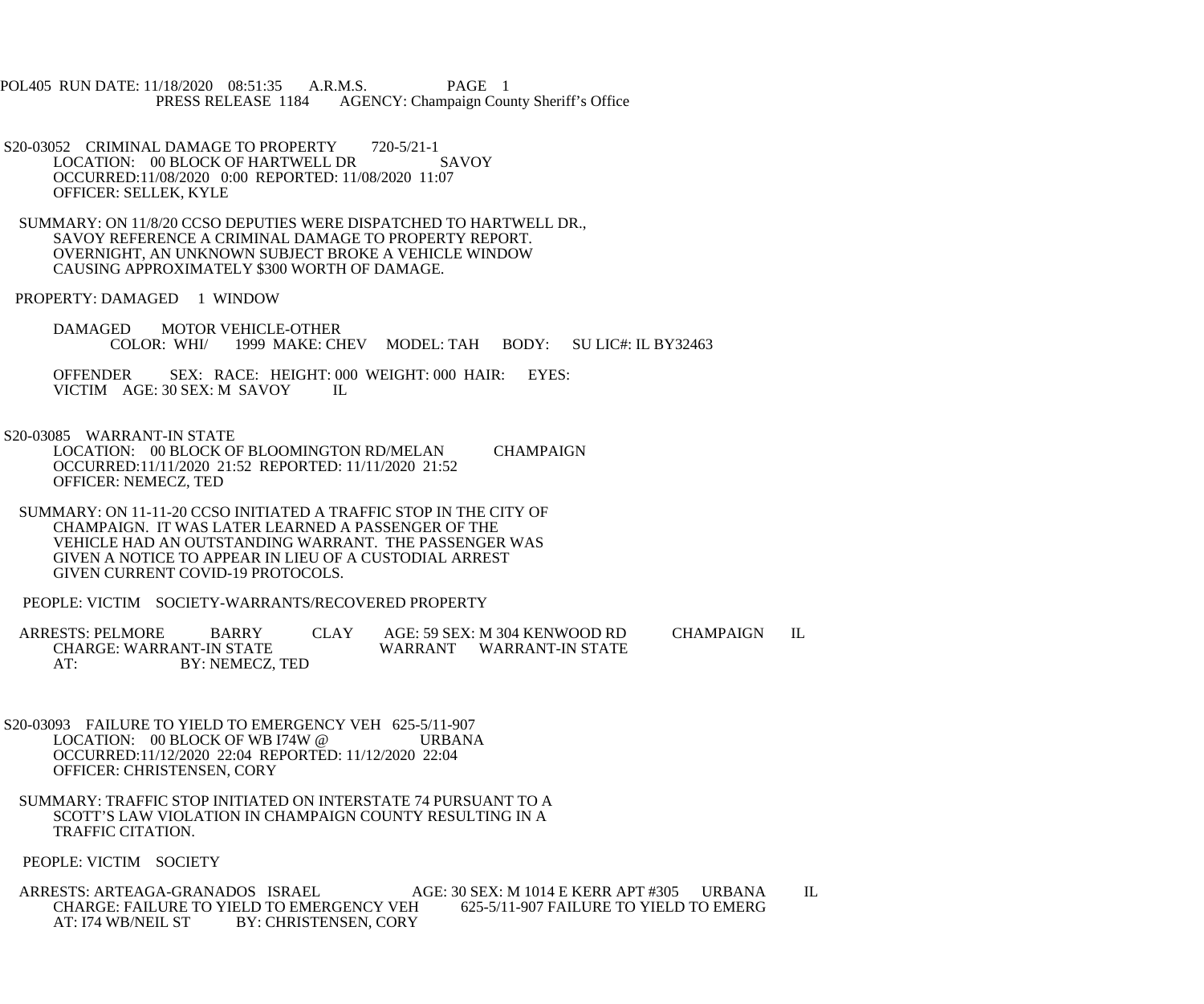POL405 RUN DATE: 11/18/2020 08:51:35 A.R.M.S. PAGE 1<br>PRESS RELEASE 1184 AGENCY: Champaign Cou AGENCY: Champaign County Sheriff's Office

- S20-03052 CRIMINAL DAMAGE TO PROPERTY 720-5/21-1<br>LOCATION: 00 BLOCK OF HARTWELL DR SAVOY LOCATION: 00 BLOCK OF HARTWELL DR OCCURRED:11/08/2020 0:00 REPORTED: 11/08/2020 11:07 OFFICER: SELLEK, KYLE
- SUMMARY: ON 11/8/20 CCSO DEPUTIES WERE DISPATCHED TO HARTWELL DR., SAVOY REFERENCE A CRIMINAL DAMAGE TO PROPERTY REPORT. OVERNIGHT, AN UNKNOWN SUBJECT BROKE A VEHICLE WINDOW CAUSING APPROXIMATELY \$300 WORTH OF DAMAGE.

PROPERTY: DAMAGED 1 WINDOW

DAMAGED MOTOR VEHICLE-OTHER<br>COLOR: WHI/ 1999 MAKE: CH COLOR: WHI/ 1999 MAKE: CHEV MODEL: TAH BODY: SU LIC#: IL BY32463

OFFENDER SEX: RACE: HEIGHT: 000 WEIGHT: 000 HAIR: EYES: VICTIM AGE: 30 SEX: M SAVOY IL VICTIM AGE: 30 SEX: M SAVOY

S20-03085 WARRANT-IN STATE

 LOCATION: 00 BLOCK OF BLOOMINGTON RD/MELAN CHAMPAIGN OCCURRED:11/11/2020 21:52 REPORTED: 11/11/2020 21:52 OFFICER: NEMECZ, TED

- SUMMARY: ON 11-11-20 CCSO INITIATED A TRAFFIC STOP IN THE CITY OF CHAMPAIGN. IT WAS LATER LEARNED A PASSENGER OF THE VEHICLE HAD AN OUTSTANDING WARRANT. THE PASSENGER WAS GIVEN A NOTICE TO APPEAR IN LIEU OF A CUSTODIAL ARREST GIVEN CURRENT COVID-19 PROTOCOLS.
- PEOPLE: VICTIM SOCIETY-WARRANTS/RECOVERED PROPERTY

ARRESTS: PELMORE BARRY CLAY AGE: 59 SEX: M 304 KENWOOD RD CHAMPAIGN IL CHARGE: WARRANT-IN STATE CHARGE: WARRANT-IN STATE WARRANT WARRANT-IN STATE<br>AT: BY: NEMECZ. TED BY: NEMECZ, TED

- S20-03093 FAILURE TO YIELD TO EMERGENCY VEH 625-5/11-907 LOCATION: 00 BLOCK OF WB I74W @ URBANA OCCURRED:11/12/2020 22:04 REPORTED: 11/12/2020 22:04 OFFICER: CHRISTENSEN, CORY
- SUMMARY: TRAFFIC STOP INITIATED ON INTERSTATE 74 PURSUANT TO A SCOTT'S LAW VIOLATION IN CHAMPAIGN COUNTY RESULTING IN A TRAFFIC CITATION.

PEOPLE: VICTIM SOCIETY

 ARRESTS: ARTEAGA-GRANADOS ISRAEL AGE: 30 SEX: M 1014 E KERR APT #305 URBANA IL CHARGE: FAILURE TO YIELD TO EMERGENCY VEH<br>AT: I74 WB/NEIL ST BY: CHRISTENSEN. CORY BY: CHRISTENSEN, CORY